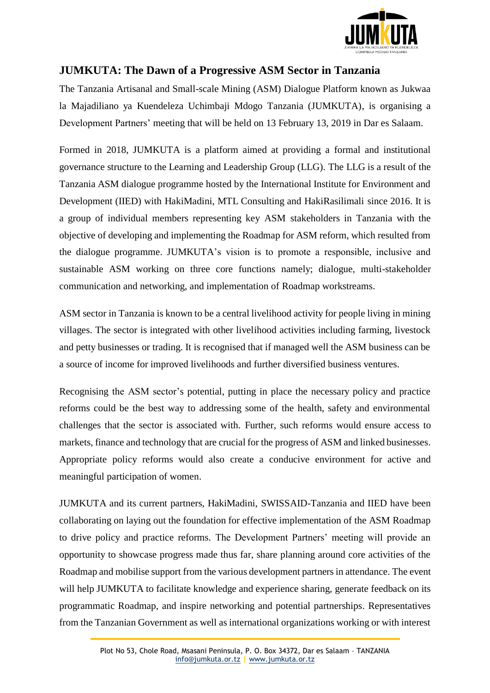

## **JUMKUTA: The Dawn of a Progressive ASM Sector in Tanzania**

The Tanzania Artisanal and Small-scale Mining (ASM) Dialogue Platform known as Jukwaa la Majadiliano ya Kuendeleza Uchimbaji Mdogo Tanzania (JUMKUTA), is organising a Development Partners' meeting that will be held on 13 February 13, 2019 in Dar es Salaam.

Formed in 2018, JUMKUTA is a platform aimed at providing a formal and institutional governance structure to the Learning and Leadership Group (LLG). The LLG is a result of the Tanzania ASM dialogue programme hosted by the International Institute for Environment and Development (IIED) with HakiMadini, MTL Consulting and HakiRasilimali since 2016. It is a group of individual members representing key ASM stakeholders in Tanzania with the objective of developing and implementing the Roadmap for ASM reform, which resulted from the dialogue programme. JUMKUTA's vision is to promote a responsible, inclusive and sustainable ASM working on three core functions namely; dialogue, multi-stakeholder communication and networking, and implementation of Roadmap workstreams.

ASM sector in Tanzania is known to be a central livelihood activity for people living in mining villages. The sector is integrated with other livelihood activities including farming, livestock and petty businesses or trading. It is recognised that if managed well the ASM business can be a source of income for improved livelihoods and further diversified business ventures.

Recognising the ASM sector's potential, putting in place the necessary policy and practice reforms could be the best way to addressing some of the health, safety and environmental challenges that the sector is associated with. Further, such reforms would ensure access to markets, finance and technology that are crucial for the progress of ASM and linked businesses. Appropriate policy reforms would also create a conducive environment for active and meaningful participation of women.

JUMKUTA and its current partners, HakiMadini, SWISSAID-Tanzania and IIED have been collaborating on laying out the foundation for effective implementation of the ASM Roadmap to drive policy and practice reforms. The Development Partners' meeting will provide an opportunity to showcase progress made thus far, share planning around core activities of the Roadmap and mobilise support from the various development partners in attendance. The event will help JUMKUTA to facilitate knowledge and experience sharing, generate feedback on its programmatic Roadmap, and inspire networking and potential partnerships. Representatives from the Tanzanian Government as well as international organizations working or with interest